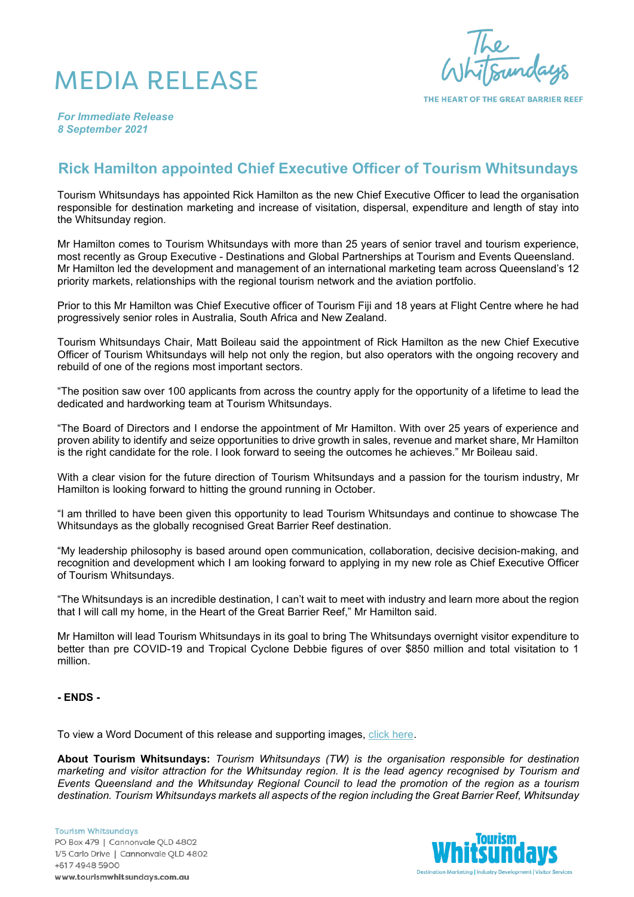## MEDIA RELEASE



THE HEART OF THE GREAT BARRIER REEF

*For Immediate Release 8 September 2021*

## **Rick Hamilton appointed Chief Executive Officer of Tourism Whitsundays**

Tourism Whitsundays has appointed Rick Hamilton as the new Chief Executive Officer to lead the organisation responsible for destination marketing and increase of visitation, dispersal, expenditure and length of stay into the Whitsunday region.

Mr Hamilton comes to Tourism Whitsundays with more than 25 years of senior travel and tourism experience, most recently as Group Executive - Destinations and Global Partnerships at Tourism and Events Queensland. Mr Hamilton led the development and management of an international marketing team across Queensland's 12 priority markets, relationships with the regional tourism network and the aviation portfolio.

Prior to this Mr Hamilton was Chief Executive officer of Tourism Fiji and 18 years at Flight Centre where he had progressively senior roles in Australia, South Africa and New Zealand.

Tourism Whitsundays Chair, Matt Boileau said the appointment of Rick Hamilton as the new Chief Executive Officer of Tourism Whitsundays will help not only the region, but also operators with the ongoing recovery and rebuild of one of the regions most important sectors.

"The position saw over 100 applicants from across the country apply for the opportunity of a lifetime to lead the dedicated and hardworking team at Tourism Whitsundays.

"The Board of Directors and I endorse the appointment of Mr Hamilton. With over 25 years of experience and proven ability to identify and seize opportunities to drive growth in sales, revenue and market share, Mr Hamilton is the right candidate for the role. I look forward to seeing the outcomes he achieves." Mr Boileau said.

With a clear vision for the future direction of Tourism Whitsundays and a passion for the tourism industry, Mr Hamilton is looking forward to hitting the ground running in October.

"I am thrilled to have been given this opportunity to lead Tourism Whitsundays and continue to showcase The Whitsundays as the globally recognised Great Barrier Reef destination.

"My leadership philosophy is based around open communication, collaboration, decisive decision-making, and recognition and development which I am looking forward to applying in my new role as Chief Executive Officer of Tourism Whitsundays.

"The Whitsundays is an incredible destination, I can't wait to meet with industry and learn more about the region that I will call my home, in the Heart of the Great Barrier Reef," Mr Hamilton said.

Mr Hamilton will lead Tourism Whitsundays in its goal to bring The Whitsundays overnight visitor expenditure to better than pre COVID-19 and Tropical Cyclone Debbie figures of over \$850 million and total visitation to 1 million.

## **- ENDS -**

To view a Word Document of this release and supporting images, [click here.](https://www.dropbox.com/sh/imf9hz9fyy4tdli/AACyffqvg1f-5XoPDrOMILeAa?dl=0)

**About Tourism Whitsundays:** *Tourism Whitsundays (TW) is the organisation responsible for destination marketing and visitor attraction for the Whitsunday region. It is the lead agency recognised by Tourism and Events Queensland and the Whitsunday Regional Council to lead the promotion of the region as a tourism destination. Tourism Whitsundays markets all aspects of the region including the Great Barrier Reef, Whitsunday* 

**Tourism Whitsundays** PO Box 479 | Cannonvale QLD 4802 1/5 Carlo Drive | Cannonvale QLD 4802 +617 4948 5900 www.tourismwhitsundays.com.au